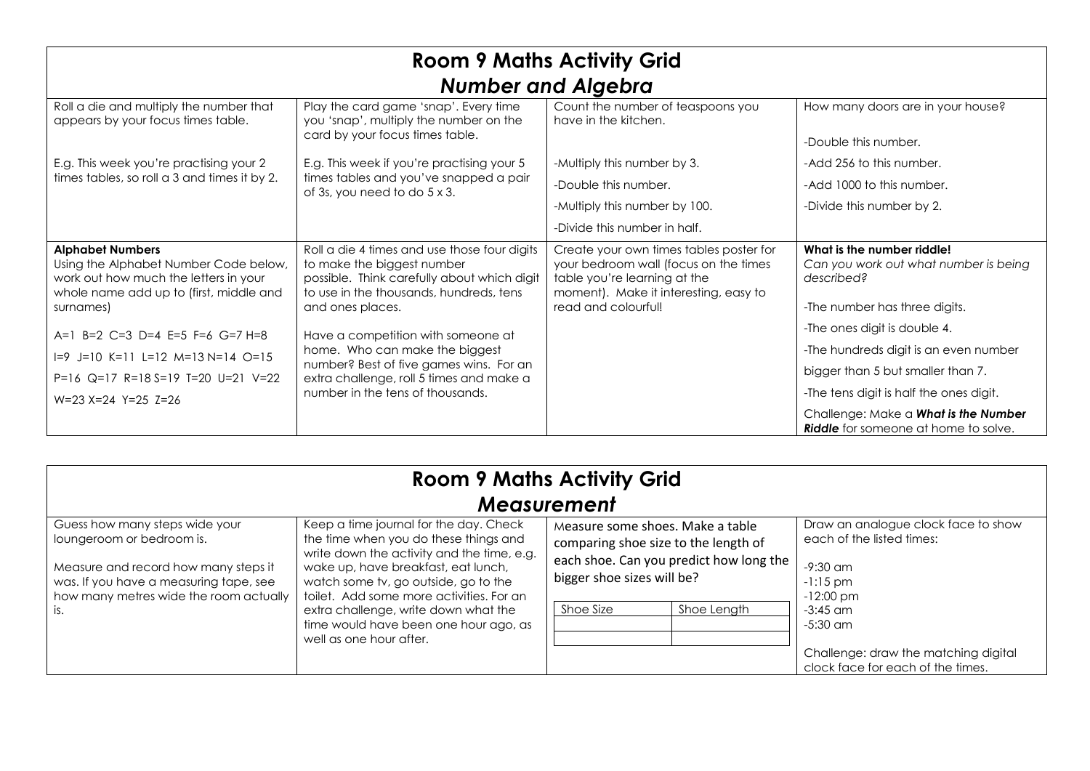| <b>Room 9 Maths Activity Grid</b><br><b>Number and Algebra</b>                                                                                                    |                                                                                                                                                                                                 |                                                                                                                                                                                  |                                                                                                                    |
|-------------------------------------------------------------------------------------------------------------------------------------------------------------------|-------------------------------------------------------------------------------------------------------------------------------------------------------------------------------------------------|----------------------------------------------------------------------------------------------------------------------------------------------------------------------------------|--------------------------------------------------------------------------------------------------------------------|
| Roll a die and multiply the number that<br>appears by your focus times table.                                                                                     | Play the card game 'snap'. Every time<br>you 'snap', multiply the number on the<br>card by your focus times table.                                                                              | Count the number of teaspoons you<br>have in the kitchen.                                                                                                                        | How many doors are in your house?<br>-Double this number.                                                          |
| E.g. This week you're practising your 2<br>times tables, so roll a 3 and times it by 2.                                                                           | E.g. This week if you're practising your 5<br>times tables and you've snapped a pair<br>of 3s, you need to do 5 x 3.                                                                            | -Multiply this number by 3.                                                                                                                                                      | -Add 256 to this number.                                                                                           |
|                                                                                                                                                                   |                                                                                                                                                                                                 | -Double this number.                                                                                                                                                             | -Add 1000 to this number.                                                                                          |
|                                                                                                                                                                   |                                                                                                                                                                                                 | -Multiply this number by 100.                                                                                                                                                    | -Divide this number by 2.                                                                                          |
|                                                                                                                                                                   |                                                                                                                                                                                                 | -Divide this number in half.                                                                                                                                                     |                                                                                                                    |
| <b>Alphabet Numbers</b><br>Using the Alphabet Number Code below,<br>work out how much the letters in your<br>whole name add up to (first, middle and<br>surnames) | Roll a die 4 times and use those four digits<br>to make the biggest number<br>possible. Think carefully about which digit<br>to use in the thousands, hundreds, tens<br>and ones places.        | Create your own times tables poster for<br>your bedroom wall (focus on the times<br>table you're learning at the<br>moment). Make it interesting, easy to<br>read and colourful! | What is the number riddle!<br>Can you work out what number is being<br>described?<br>-The number has three digits. |
| A=1 B=2 C=3 D=4 E=5 F=6 G=7 H=8                                                                                                                                   | Have a competition with someone at<br>home. Who can make the biggest<br>number? Best of five games wins. For an<br>extra challenge, roll 5 times and make a<br>number in the tens of thousands. |                                                                                                                                                                                  | -The ones digit is double 4.                                                                                       |
| $I=9$ J=10 K=11 L=12 M=13 N=14 O=15                                                                                                                               |                                                                                                                                                                                                 |                                                                                                                                                                                  | -The hundreds digit is an even number                                                                              |
| P=16 Q=17 R=18 S=19 T=20 U=21 V=22                                                                                                                                |                                                                                                                                                                                                 |                                                                                                                                                                                  | bigger than 5 but smaller than 7.                                                                                  |
| $W=23 X=24 Y=25 Z=26$                                                                                                                                             |                                                                                                                                                                                                 |                                                                                                                                                                                  | -The tens digit is half the ones digit.                                                                            |
|                                                                                                                                                                   |                                                                                                                                                                                                 |                                                                                                                                                                                  | Challenge: Make a What is the Number<br><b>Riddle</b> for someone at home to solve.                                |

| <b>Room 9 Maths Activity Grid</b>                                                                                                                                                                |                                                                                                                                                                                                                                                                                                                                                                      |                                                                                                                                                                               |                                                                                                                                         |
|--------------------------------------------------------------------------------------------------------------------------------------------------------------------------------------------------|----------------------------------------------------------------------------------------------------------------------------------------------------------------------------------------------------------------------------------------------------------------------------------------------------------------------------------------------------------------------|-------------------------------------------------------------------------------------------------------------------------------------------------------------------------------|-----------------------------------------------------------------------------------------------------------------------------------------|
| <b>Measurement</b>                                                                                                                                                                               |                                                                                                                                                                                                                                                                                                                                                                      |                                                                                                                                                                               |                                                                                                                                         |
| Guess how many steps wide your<br>loungeroom or bedroom is.<br>Measure and record how many steps it<br>was. If you have a measuring tape, see<br>how many metres wide the room actually<br>l is. | Keep a time journal for the day. Check<br>the time when you do these things and<br>write down the activity and the time, e.g.<br>wake up, have breakfast, eat lunch,<br>watch some tv, go outside, go to the<br>toilet. Add some more activities. For an<br>extra challenge, write down what the<br>time would have been one hour ago, as<br>well as one hour after. | Measure some shoes. Make a table<br>comparing shoe size to the length of<br>each shoe. Can you predict how long the<br>bigger shoe sizes will be?<br>Shoe Size<br>Shoe Length | Draw an analogue clock face to show<br>each of the listed times:<br>$-9:30$ am<br>$-1:15$ pm<br>$-12:00$ pm<br>$-3:45$ am<br>$-5:30$ am |
|                                                                                                                                                                                                  |                                                                                                                                                                                                                                                                                                                                                                      |                                                                                                                                                                               | Challenge: draw the matching digital<br>clock face for each of the times.                                                               |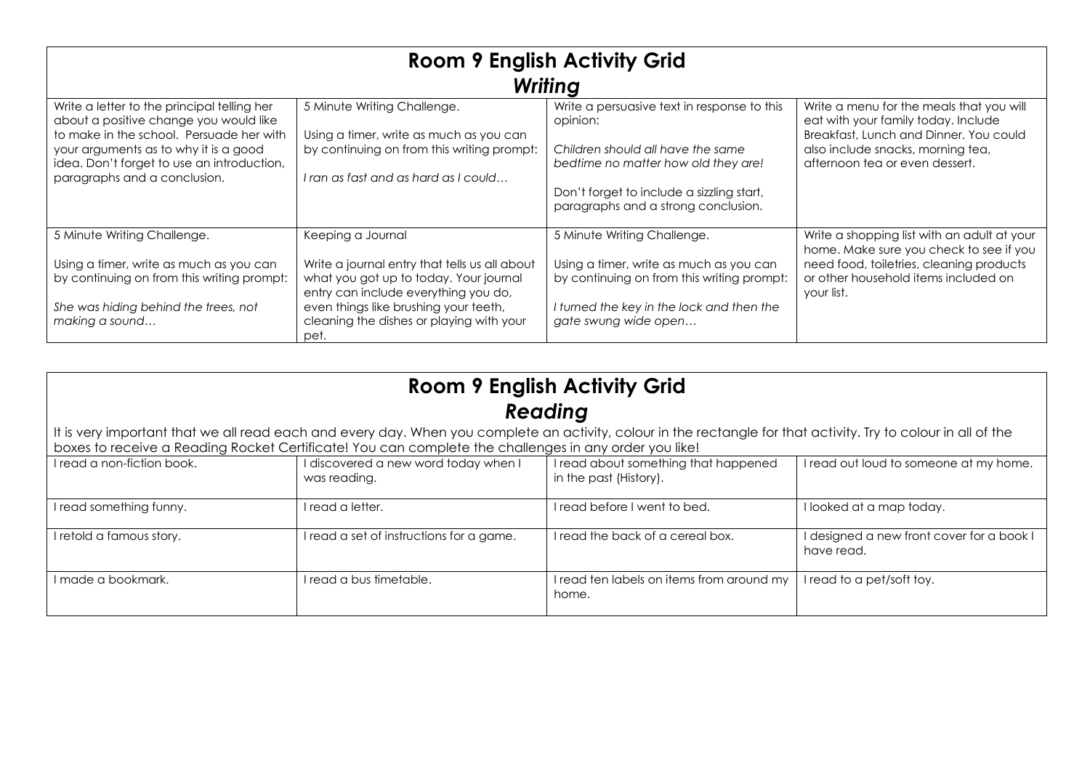| <b>Room 9 English Activity Grid</b><br><b>Writing</b>                                                                                                                                                                                                    |                                                                                                                                                                                                                                                   |                                                                                                                                                                                                                         |                                                                                                                                                                                                  |
|----------------------------------------------------------------------------------------------------------------------------------------------------------------------------------------------------------------------------------------------------------|---------------------------------------------------------------------------------------------------------------------------------------------------------------------------------------------------------------------------------------------------|-------------------------------------------------------------------------------------------------------------------------------------------------------------------------------------------------------------------------|--------------------------------------------------------------------------------------------------------------------------------------------------------------------------------------------------|
| Write a letter to the principal telling her<br>about a positive change you would like<br>to make in the school. Persuade her with<br>your arguments as to why it is a good<br>idea. Don't forget to use an introduction,<br>paragraphs and a conclusion. | 5 Minute Writing Challenge.<br>Using a timer, write as much as you can<br>by continuing on from this writing prompt:<br>I ran as fast and as hard as I could                                                                                      | Write a persuasive text in response to this<br>opinion:<br>Children should all have the same<br>bedtime no matter how old they are!<br>Don't forget to include a sizzling start,<br>paragraphs and a strong conclusion. | Write a menu for the meals that you will<br>eat with your family today. Include<br>Breakfast, Lunch and Dinner. You could<br>also include snacks, morning tea,<br>afternoon tea or even dessert. |
| 5 Minute Writing Challenge.<br>Using a timer, write as much as you can<br>by continuing on from this writing prompt:<br>She was hiding behind the trees, not<br>making a sound                                                                           | Keeping a Journal<br>Write a journal entry that tells us all about<br>what you got up to today. Your journal<br>entry can include everything you do,<br>even things like brushing your teeth,<br>cleaning the dishes or playing with your<br>pet. | 5 Minute Writing Challenge.<br>Using a timer, write as much as you can<br>by continuing on from this writing prompt:<br>I turned the key in the lock and then the<br>gate swung wide open                               | Write a shopping list with an adult at your<br>home. Make sure you check to see if you<br>need food, toiletries, cleaning products<br>or other household items included on<br>your list.         |

| <b>Room 9 English Activity Grid</b> |  |  |
|-------------------------------------|--|--|
| Reading                             |  |  |

It is very important that we all read each and every day. When you complete an activity, colour in the rectangle for that activity. Try to colour in all of the boxes to receive a Reading Rocket Certificate! You can complete the challenges in any order you like!

| I read a non-fiction book. | I discovered a new word today when I<br>was reading. | I read about something that happened<br>in the past (History). | I read out loud to someone at my home.                  |
|----------------------------|------------------------------------------------------|----------------------------------------------------------------|---------------------------------------------------------|
| I read something funny.    | I read a letter.                                     | I read before I went to bed.                                   | I looked at a map today.                                |
| I retold a famous story.   | I read a set of instructions for a game.             | I read the back of a cereal box.                               | I designed a new front cover for a book I<br>have read. |
| l made a bookmark.         | l read a bus timetable.                              | I read ten labels on items from around my<br>home.             | I read to a pet/soft toy.                               |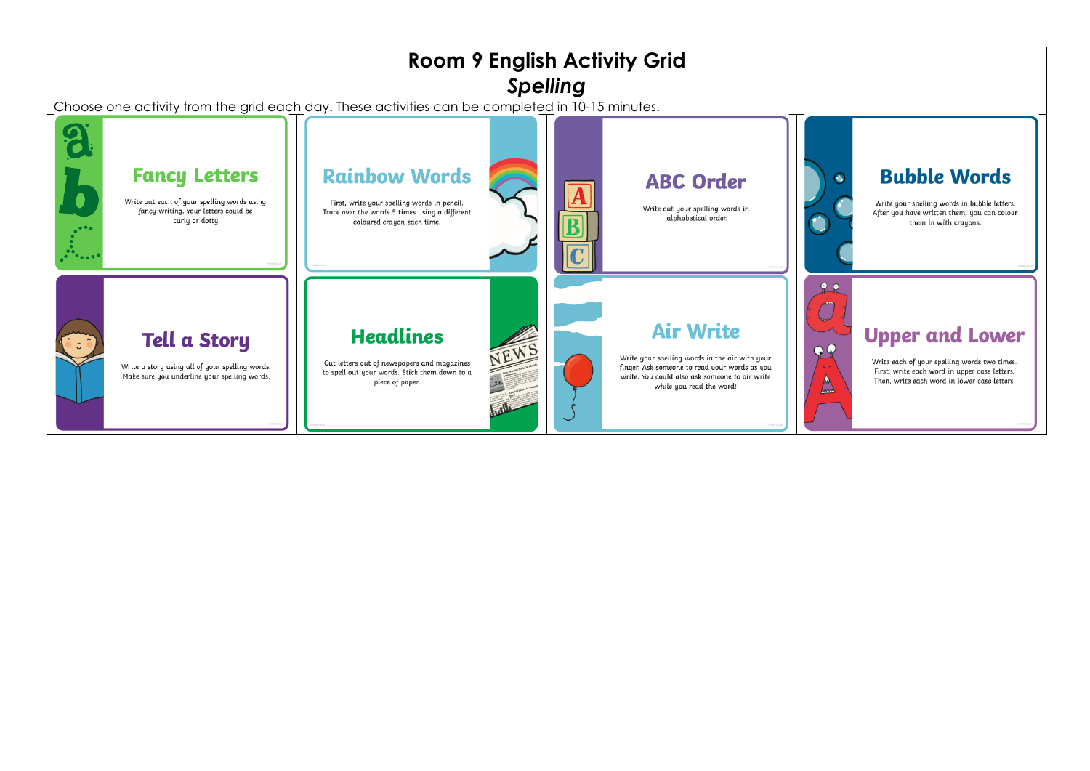